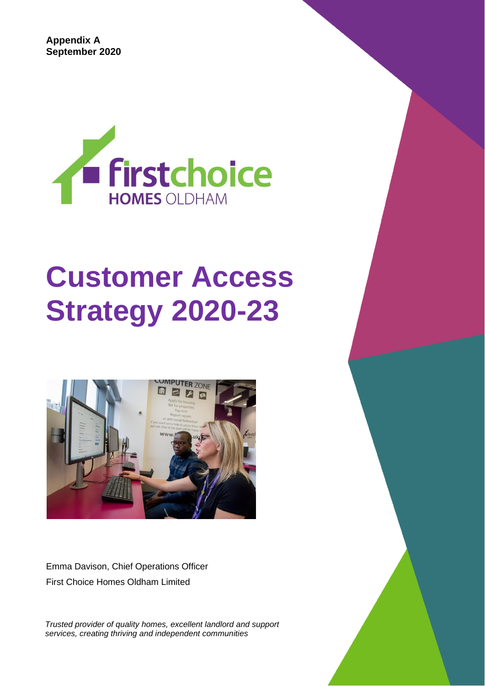**Appendix A September 2020**



# **Customer Access Strategy 2020-23**



Emma Davison, Chief Operations Officer First Choice Homes Oldham Limited

*Trusted provider of quality homes, excellent landlord and support services, creating thriving and independent communities*

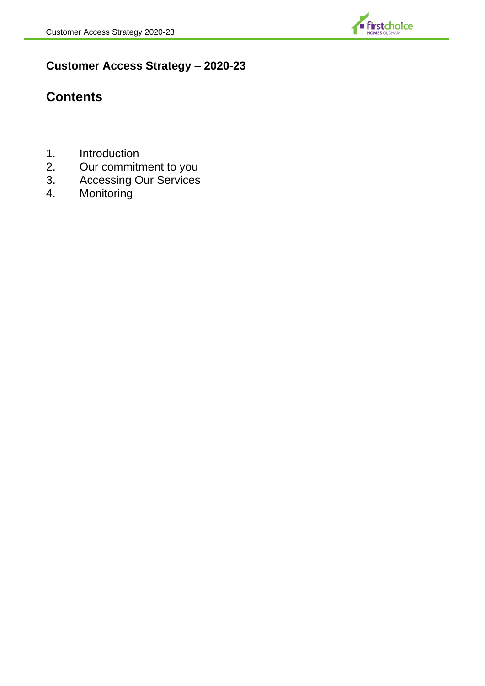

# **Customer Access Strategy – 2020-23**

# **Contents**

- 1. Introduction<br>2. Our commitr
- 2. Our commitment to you
- 3. Accessing Our Services
- 4. Monitoring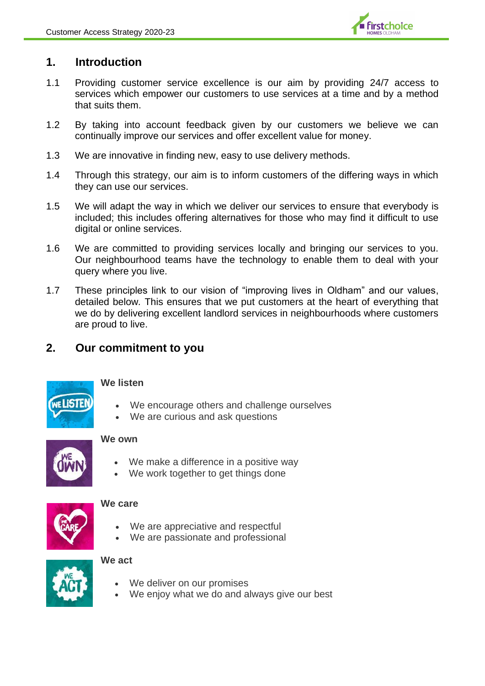

#### **1. Introduction**

- 1.1 Providing customer service excellence is our aim by providing 24/7 access to services which empower our customers to use services at a time and by a method that suits them.
- 1.2 By taking into account feedback given by our customers we believe we can continually improve our services and offer excellent value for money.
- 1.3 We are innovative in finding new, easy to use delivery methods.
- 1.4 Through this strategy, our aim is to inform customers of the differing ways in which they can use our services.
- 1.5 We will adapt the way in which we deliver our services to ensure that everybody is included; this includes offering alternatives for those who may find it difficult to use digital or online services.
- 1.6 We are committed to providing services locally and bringing our services to you. Our neighbourhood teams have the technology to enable them to deal with your query where you live.
- 1.7 These principles link to our vision of "improving lives in Oldham" and our values, detailed below*.* This ensures that we put customers at the heart of everything that we do by delivering excellent landlord services in neighbourhoods where customers are proud to live.

## **2. Our commitment to you**



#### **We listen**

- We encourage others and challenge ourselves
- We are curious and ask questions



#### **We own**

- We make a difference in a positive way
- We work together to get things done



#### **We care**

- We are appreciative and respectful
- We are passionate and professional



#### **We act**

- We deliver on our promises
- We enjoy what we do and always give our best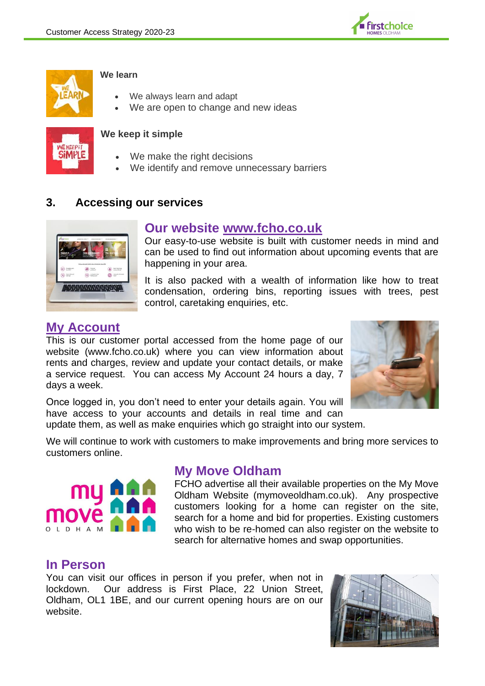



#### **We learn**

- We always learn and adapt
- We are open to change and new ideas



#### **We keep it simple**

- We make the right decisions
- We identify and remove unnecessary barriers

#### **3. Accessing our services**



#### **Our website [www.fcho.co.uk](http://www.fcho.co.uk/)**

Our easy-to-use website is built with customer needs in mind and can be used to find out information about upcoming events that are happening in your area.

It is also packed with a wealth of information like how to treat condensation, ordering bins, reporting issues with trees, pest control, caretaking enquiries, etc.

### **My Account**

This is our customer portal accessed from the home page of our website (www.fcho.co.uk) where you can view information about rents and charges, review and update your contact details, or make a service request. You can access My Account 24 hours a day, 7 days a week.



Once logged in, you don't need to enter your details again. You will have access to your accounts and details in real time and can

update them, as well as make enquiries which go straight into our system.

We will continue to work with customers to make improvements and bring more services to customers online.



# **My Move Oldham**

FCHO advertise all their available properties on the My Move Oldham Website (mymoveoldham.co.uk). Any prospective customers looking for a home can register on the site, search for a home and bid for properties. Existing customers who wish to be re-homed can also register on the website to search for alternative homes and swap opportunities.

#### **In Person**

You can visit our offices in person if you prefer, when not in lockdown. Our address is First Place, 22 Union Street, Oldham, OL1 1BE, and our current opening hours are on our website.

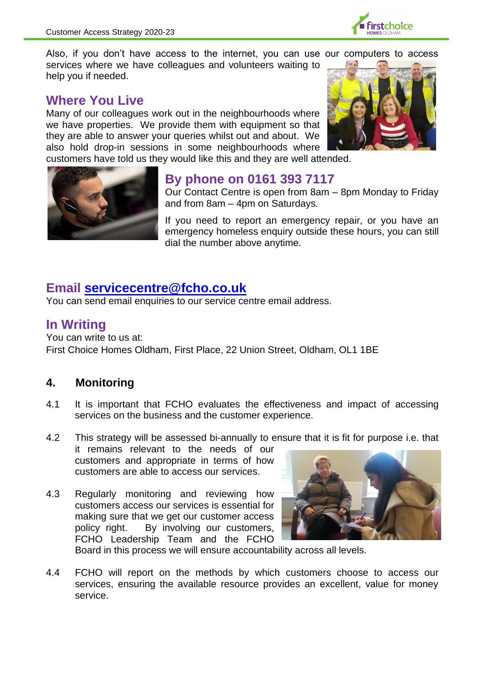

Also, if you don't have access to the internet, you can use our computers to access services where we have colleagues and volunteers waiting to help you if needed.

# **Where You Live**

Many of our colleagues work out in the neighbourhoods where we have properties. We provide them with equipment so that they are able to answer your queries whilst out and about. We also hold drop-in sessions in some neighbourhoods where



customers have told us they would like this and they are well attended.



# **By phone on 0161 393 7117**

Our Contact Centre is open from 8am – 8pm Monday to Friday and from 8am – 4pm on Saturdays.

If you need to report an emergency repair, or you have an emergency homeless enquiry outside these hours, you can still dial the number above anytime.

# **Email [servicecentre@fcho.co.uk](mailto:servicecentre@fcho.co.uk)**

You can send email enquiries to our service centre email address.

# **In Writing**

You can write to us at: First Choice Homes Oldham, First Place, 22 Union Street, Oldham, OL1 1BE

# **4. Monitoring**

- 4.1 It is important that FCHO evaluates the effectiveness and impact of accessing services on the business and the customer experience.
- 4.2 This strategy will be assessed bi-annually to ensure that it is fit for purpose i.e. that

it remains relevant to the needs of our customers and appropriate in terms of how customers are able to access our services.

4.3 Regularly monitoring and reviewing how customers access our services is essential for making sure that we get our customer access policy right. By involving our customers, FCHO Leadership Team and the FCHO



Board in this process we will ensure accountability across all levels.

4.4 FCHO will report on the methods by which customers choose to access our services, ensuring the available resource provides an excellent, value for money service.